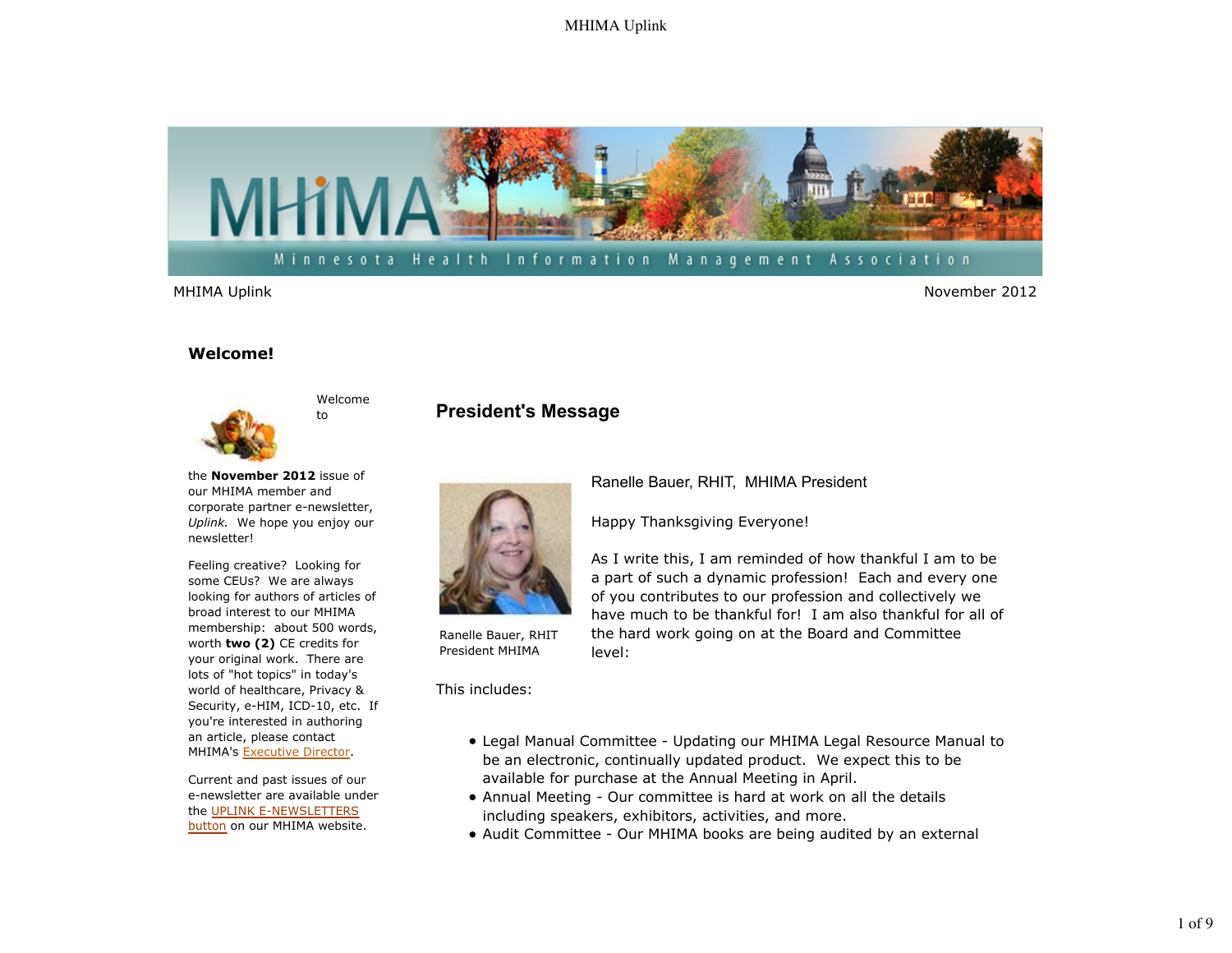### MHIMA Uplink



MHIMA Uplink November 2012

### **Welcome!**



newsletter!

Welcome to

### **President's Message**



Ranelle Bauer, RHIT President MHIMA

This includes:

Ranelle Bauer, RHIT, MHIMA President

Happy Thanksgiving Everyone!

As I write this, I am reminded of how thankful I am to be a part of such a dynamic profession! Each and every one of you contributes to our profession and collectively we have much to be thankful for! I am also thankful for all of the hard work going on at the Board and Committee level:

- Legal Manual Committee Updating our MHIMA Legal Resource Manual to be an electronic, continually updated product. We expect this to be available for purchase at the Annual Meeting in April.
- Annual Meeting Our committee is hard at work on all the details including speakers, exhibitors, activities, and more.
- Audit Committee Our MHIMA books are being audited by an external

membership: about 500 words, worth **two (2)** CE credits for your original work. There are lots of "hot topics" in today's world of healthcare, Privacy & Security, e-HIM, ICD-10, etc. If you're interested in authoring an article, please contact

MHIMA's Executive Director.

the **November 2012** issue of our MHIMA member and corporate partner e-newsletter, *Uplink.* We hope you enjoy our

Feeling creative? Looking for some CEUs? We are always looking for authors of articles of broad interest to our MHIMA

Current and past issues of our e-newsletter are available under the UPLINK E-NEWSLETTERS button on our MHIMA website.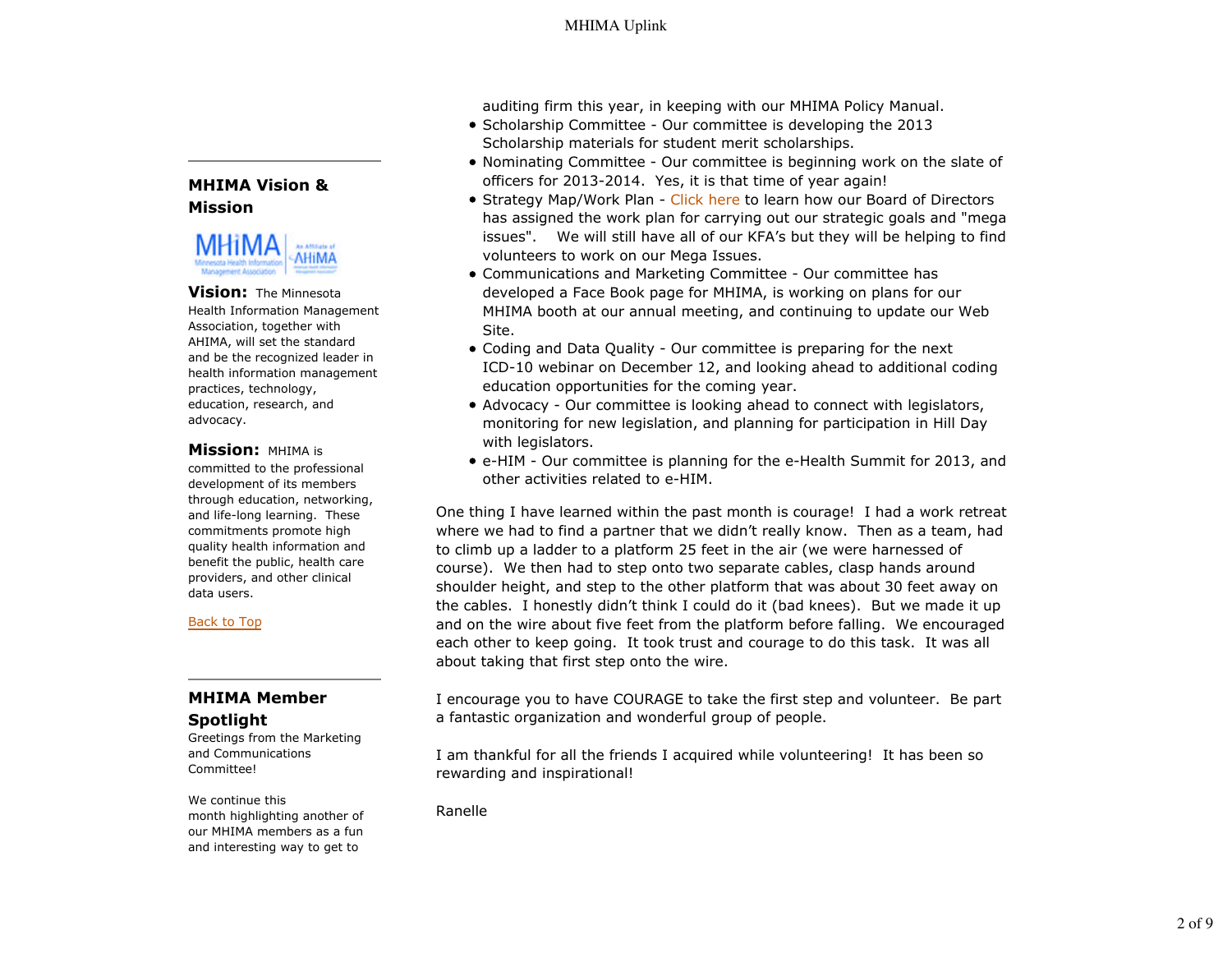### **MHIMA Vision & Mission**



#### **Vision:** The Minnesota Health Information Management

Association, together with AHIMA, will set the standard and be the recognized leader in health information management practices, technology, education, research, and advocacy.

### **Mission:** MHIMA is

committed to the professional development of its members through education, networking, and life-long learning. These commitments promote high quality health information and benefit the public, health care providers, and other clinical data users.

### Back to Top

## **MHIMA Member Spotlight**

Greetings from the Marketing and Communications Committee!

We continue this month highlighting another of our MHIMA members as a fun and interesting way to get to

auditing firm this year, in keeping with our MHIMA Policy Manual.

- Scholarship Committee Our committee is developing the 2013 Scholarship materials for student merit scholarships.
- Nominating Committee Our committee is beginning work on the slate of officers for 2013-2014. Yes, it is that time of year again!
- Strategy Map/Work Plan Click here to learn how our Board of Directors has assigned the work plan for carrying out our strategic goals and "mega issues". We will still have all of our KFA's but they will be helping to find volunteers to work on our Mega Issues.
- Communications and Marketing Committee Our committee has developed a Face Book page for MHIMA, is working on plans for our MHIMA booth at our annual meeting, and continuing to update our Web Site.
- Coding and Data Quality Our committee is preparing for the next ICD-10 webinar on December 12, and looking ahead to additional coding education opportunities for the coming year.
- Advocacy Our committee is looking ahead to connect with legislators, monitoring for new legislation, and planning for participation in Hill Day with legislators.
- e-HIM Our committee is planning for the e-Health Summit for 2013, and other activities related to e-HIM.

One thing I have learned within the past month is courage! I had a work retreat where we had to find a partner that we didn't really know. Then as a team, had to climb up a ladder to a platform 25 feet in the air (we were harnessed of course). We then had to step onto two separate cables, clasp hands around shoulder height, and step to the other platform that was about 30 feet away on the cables. I honestly didn't think I could do it (bad knees). But we made it up and on the wire about five feet from the platform before falling. We encouraged each other to keep going. It took trust and courage to do this task. It was all about taking that first step onto the wire.

I encourage you to have COURAGE to take the first step and volunteer. Be part a fantastic organization and wonderful group of people.

I am thankful for all the friends I acquired while volunteering! It has been so rewarding and inspirational!

Ranelle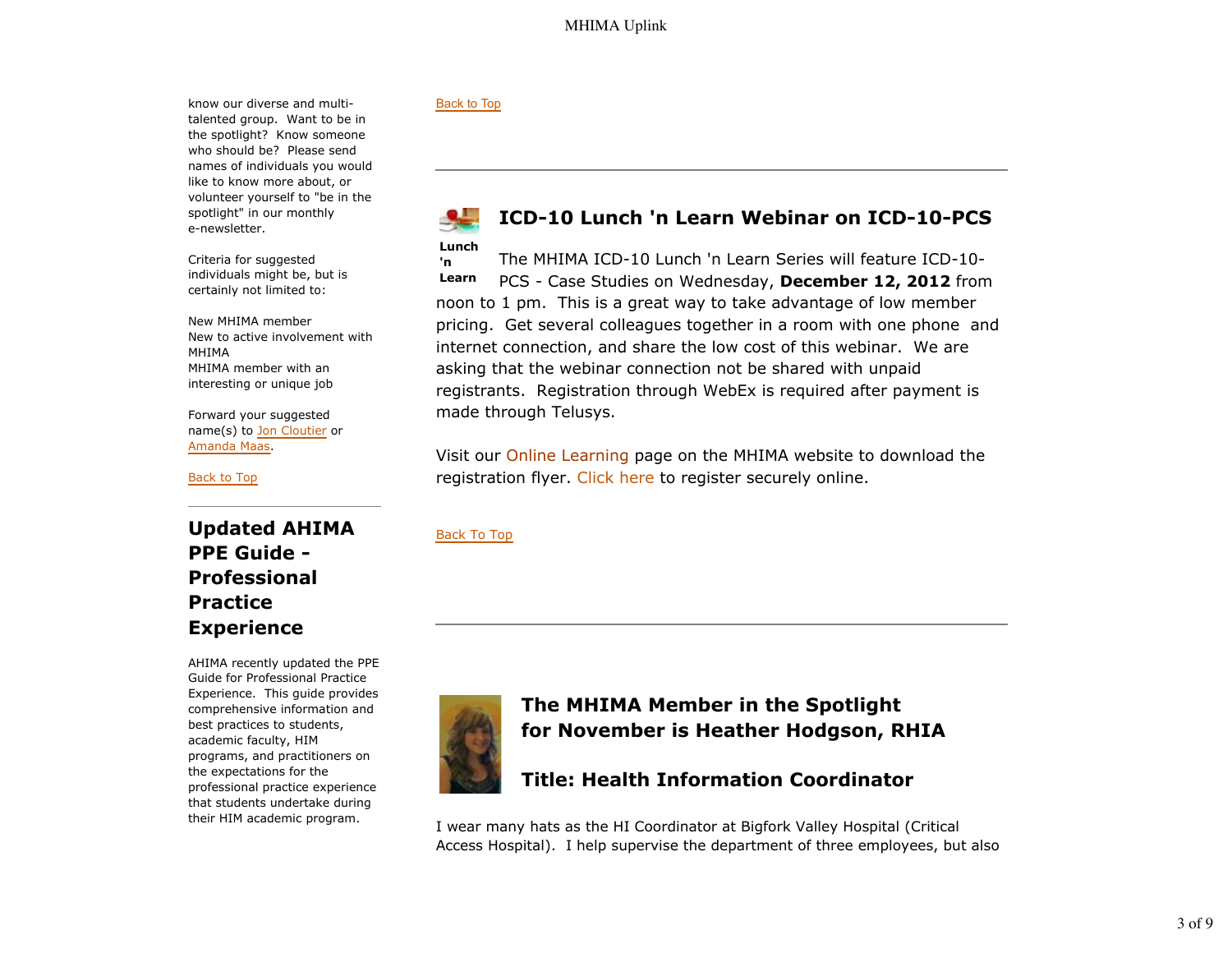know our diverse and multitalented group. Want to be in the spotlight? Know someone who should be? Please send names of individuals you would like to know more about, or volunteer yourself to "be in the spotlight" in our monthly e-newsletter.

Criteria for suggested individuals might be, but is certainly not limited to:

New MHIMA member New to active involvement with MHIMA MHIMA member with an interesting or unique job

Forward your suggested name(s) to Jon Cloutier or Amanda Maas.

Back to Top

**Updated AHIMA PPE Guide - Professional Practice Experience**

AHIMA recently updated the PPE Guide for Professional Practice Experience. This guide provides comprehensive information and best practices to students, academic faculty, HIM programs, and practitioners on the expectations for the professional practice experience that students undertake during their HIM academic program.

#### Back to Top

# **ICD-10 Lunch 'n Learn Webinar on ICD-10-PCS**

**Lunch 'n Learn** The MHIMA ICD-10 Lunch 'n Learn Series will feature ICD-10- PCS - Case Studies on Wednesday, **December 12, 2012** from noon to 1 pm. This is a great way to take advantage of low member pricing. Get several colleagues together in a room with one phone and internet connection, and share the low cost of this webinar. We are asking that the webinar connection not be shared with unpaid registrants. Registration through WebEx is required after payment is made through Telusys.

Visit our Online Learning page on the MHIMA website to download the registration flyer. Click here to register securely online.

Back To Top



# **The MHIMA Member in the Spotlight for November is Heather Hodgson, RHIA**

# **Title: Health Information Coordinator**

I wear many hats as the HI Coordinator at Bigfork Valley Hospital (Critical Access Hospital). I help supervise the department of three employees, but also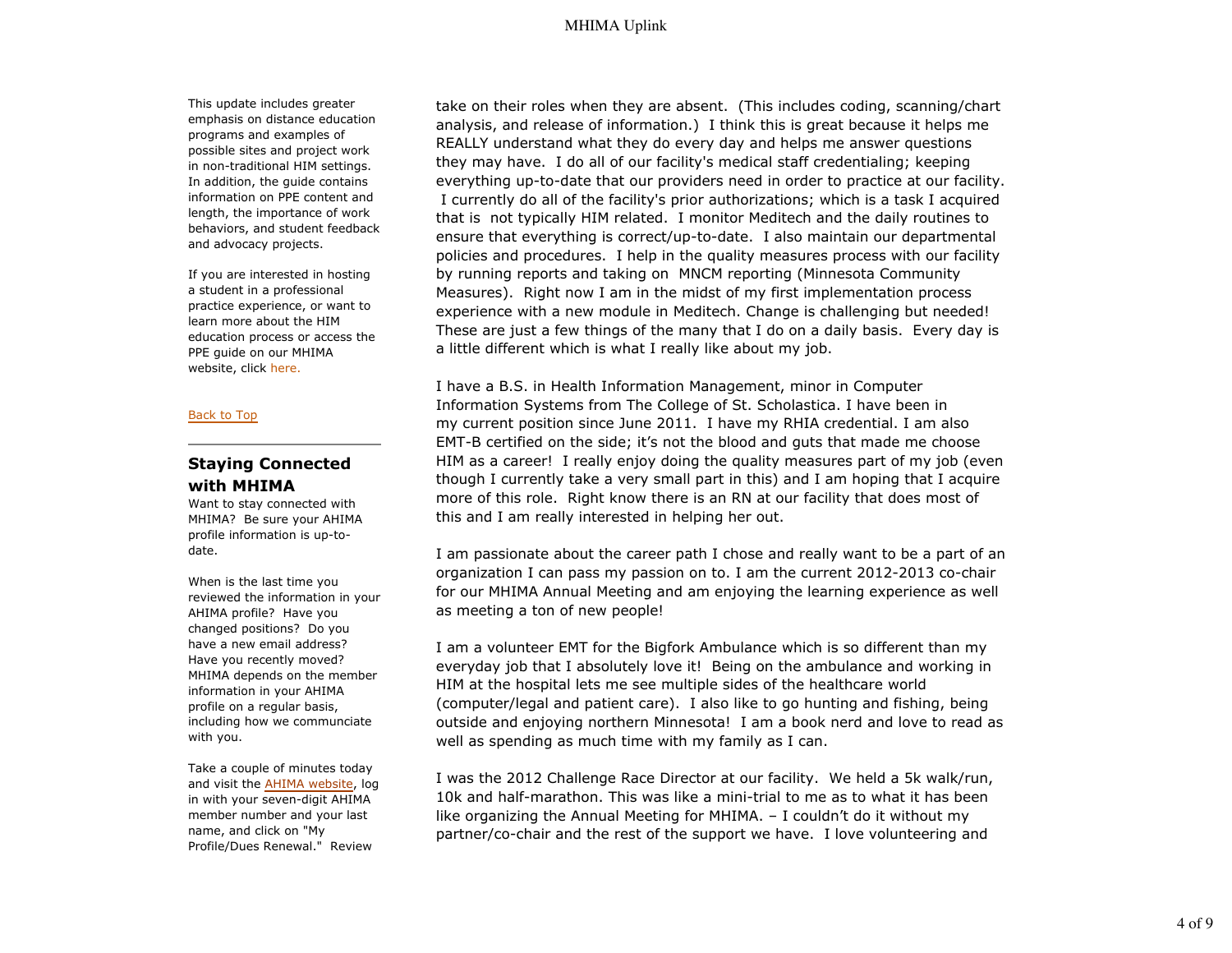### MHIMA Uplink

This update includes greater emphasis on distance education programs and examples of possible sites and project work in non-traditional HIM settings. In addition, the guide contains information on PPE content and length, the importance of work behaviors, and student feedback and advocacy projects.

If you are interested in hosting a student in a professional practice experience, or want to learn more about the HIM education process or access the PPE guide on our MHIMA website, click here.

#### Back to Top

### **Staying Connected with MHIMA**

Want to stay connected with MHIMA? Be sure your AHIMA profile information is up-todate.

When is the last time you reviewed the information in your AHIMA profile? Have you changed positions? Do you have a new email address? Have you recently moved? MHIMA depends on the member information in your AHIMA profile on a regular basis, including how we communciate with you.

Take a couple of minutes today and visit the AHIMA website, log in with your seven-digit AHIMA member number and your last name, and click on "My Profile/Dues Renewal." Review

take on their roles when they are absent. (This includes coding, scanning/chart analysis, and release of information.) I think this is great because it helps me REALLY understand what they do every day and helps me answer questions they may have. I do all of our facility's medical staff credentialing; keeping everything up-to-date that our providers need in order to practice at our facility. I currently do all of the facility's prior authorizations; which is a task I acquired that is not typically HIM related. I monitor Meditech and the daily routines to ensure that everything is correct/up-to-date. I also maintain our departmental policies and procedures. I help in the quality measures process with our facility by running reports and taking on MNCM reporting (Minnesota Community Measures). Right now I am in the midst of my first implementation process experience with a new module in Meditech. Change is challenging but needed! These are just a few things of the many that I do on a daily basis. Every day is a little different which is what I really like about my job.

I have a B.S. in Health Information Management, minor in Computer Information Systems from The College of St. Scholastica. I have been in my current position since June 2011. I have my RHIA credential. I am also EMT-B certified on the side; it's not the blood and guts that made me choose HIM as a career! I really enjoy doing the quality measures part of my job (even though I currently take a very small part in this) and I am hoping that I acquire more of this role. Right know there is an RN at our facility that does most of this and I am really interested in helping her out.

I am passionate about the career path I chose and really want to be a part of an organization I can pass my passion on to. I am the current 2012-2013 co-chair for our MHIMA Annual Meeting and am enjoying the learning experience as well as meeting a ton of new people!

I am a volunteer EMT for the Bigfork Ambulance which is so different than my everyday job that I absolutely love it! Being on the ambulance and working in HIM at the hospital lets me see multiple sides of the healthcare world (computer/legal and patient care). I also like to go hunting and fishing, being outside and enjoying northern Minnesota! I am a book nerd and love to read as well as spending as much time with my family as I can.

I was the 2012 Challenge Race Director at our facility. We held a 5k walk/run, 10k and half-marathon. This was like a mini-trial to me as to what it has been like organizing the Annual Meeting for MHIMA. – I couldn't do it without my partner/co-chair and the rest of the support we have. I love volunteering and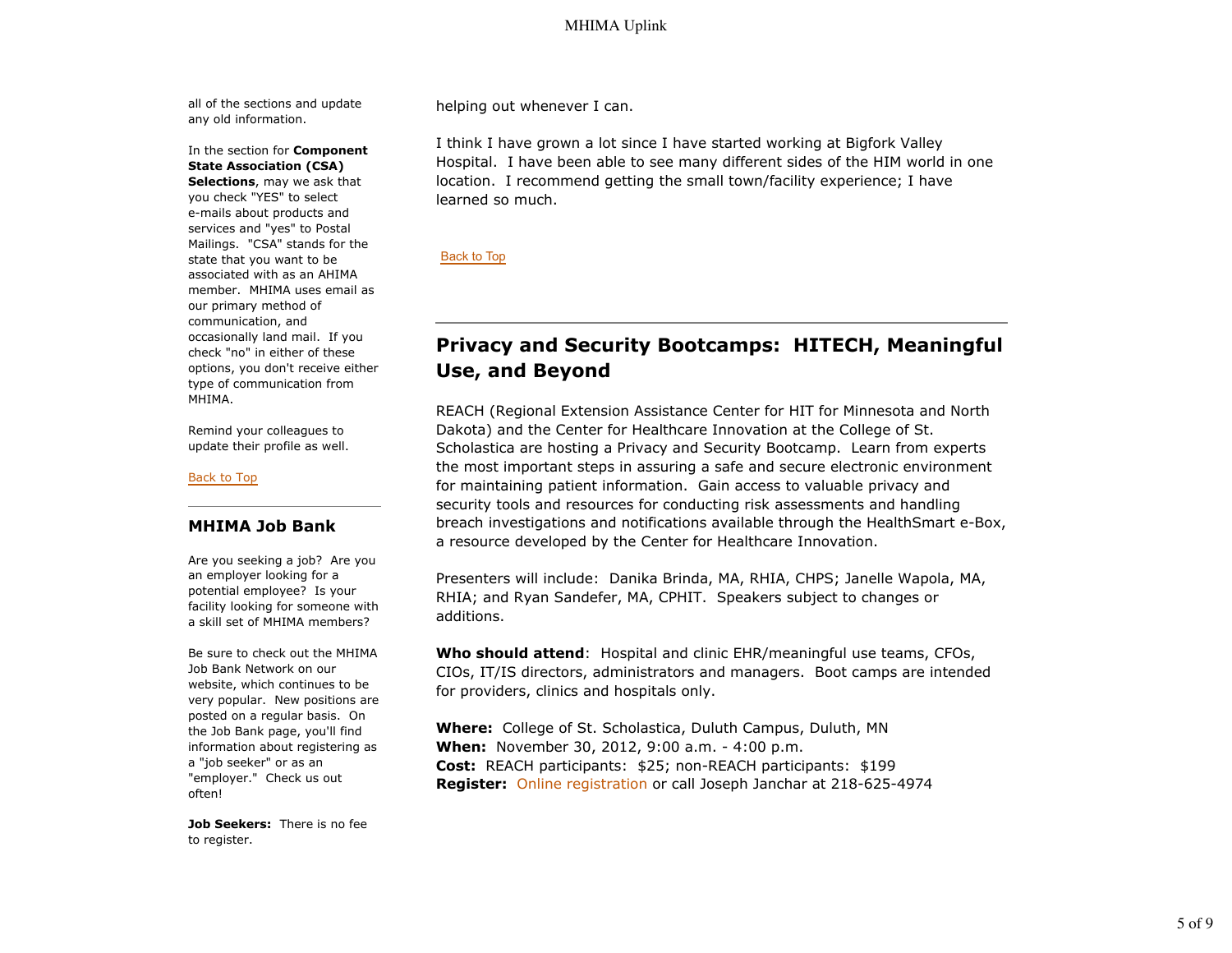all of the sections and update any old information.

In the section for **Component State Association (CSA)**

**Selections**, may we ask that you check "YES" to select e-mails about products and services and "yes" to Postal Mailings. "CSA" stands for the state that you want to be associated with as an AHIMA member. MHIMA uses email as our primary method of communication, and occasionally land mail. If you check "no" in either of these options, you don't receive either type of communication from MHIMA.

Remind your colleagues to update their profile as well.

#### Back to Top

#### **MHIMA Job Bank**

Are you seeking a job? Are you an employer looking for a potential employee? Is your facility looking for someone with a skill set of MHIMA members?

Be sure to check out the MHIMA Job Bank Network on our website, which continues to be very popular. New positions are posted on a regular basis. On the Job Bank page, you'll find information about registering as a "job seeker" or as an "employer." Check us out often!

**Job Seekers:** There is no fee to register.

helping out whenever I can.

I think I have grown a lot since I have started working at Bigfork Valley Hospital. I have been able to see many different sides of the HIM world in one location. I recommend getting the small town/facility experience; I have learned so much.

Back to Top

# **Privacy and Security Bootcamps: HITECH, Meaningful Use, and Beyond**

REACH (Regional Extension Assistance Center for HIT for Minnesota and North Dakota) and the Center for Healthcare Innovation at the College of St. Scholastica are hosting a Privacy and Security Bootcamp. Learn from experts the most important steps in assuring a safe and secure electronic environment for maintaining patient information. Gain access to valuable privacy and security tools and resources for conducting risk assessments and handling breach investigations and notifications available through the HealthSmart e-Box, a resource developed by the Center for Healthcare Innovation.

Presenters will include: Danika Brinda, MA, RHIA, CHPS; Janelle Wapola, MA, RHIA; and Ryan Sandefer, MA, CPHIT. Speakers subject to changes or additions.

**Who should attend**: Hospital and clinic EHR/meaningful use teams, CFOs, CIOs, IT/IS directors, administrators and managers. Boot camps are intended for providers, clinics and hospitals only.

**Where:** College of St. Scholastica, Duluth Campus, Duluth, MN **When:** November 30, 2012, 9:00 a.m. - 4:00 p.m. **Cost:** REACH participants: \$25; non-REACH participants: \$199 **Register:** Online registration or call Joseph Janchar at 218-625-4974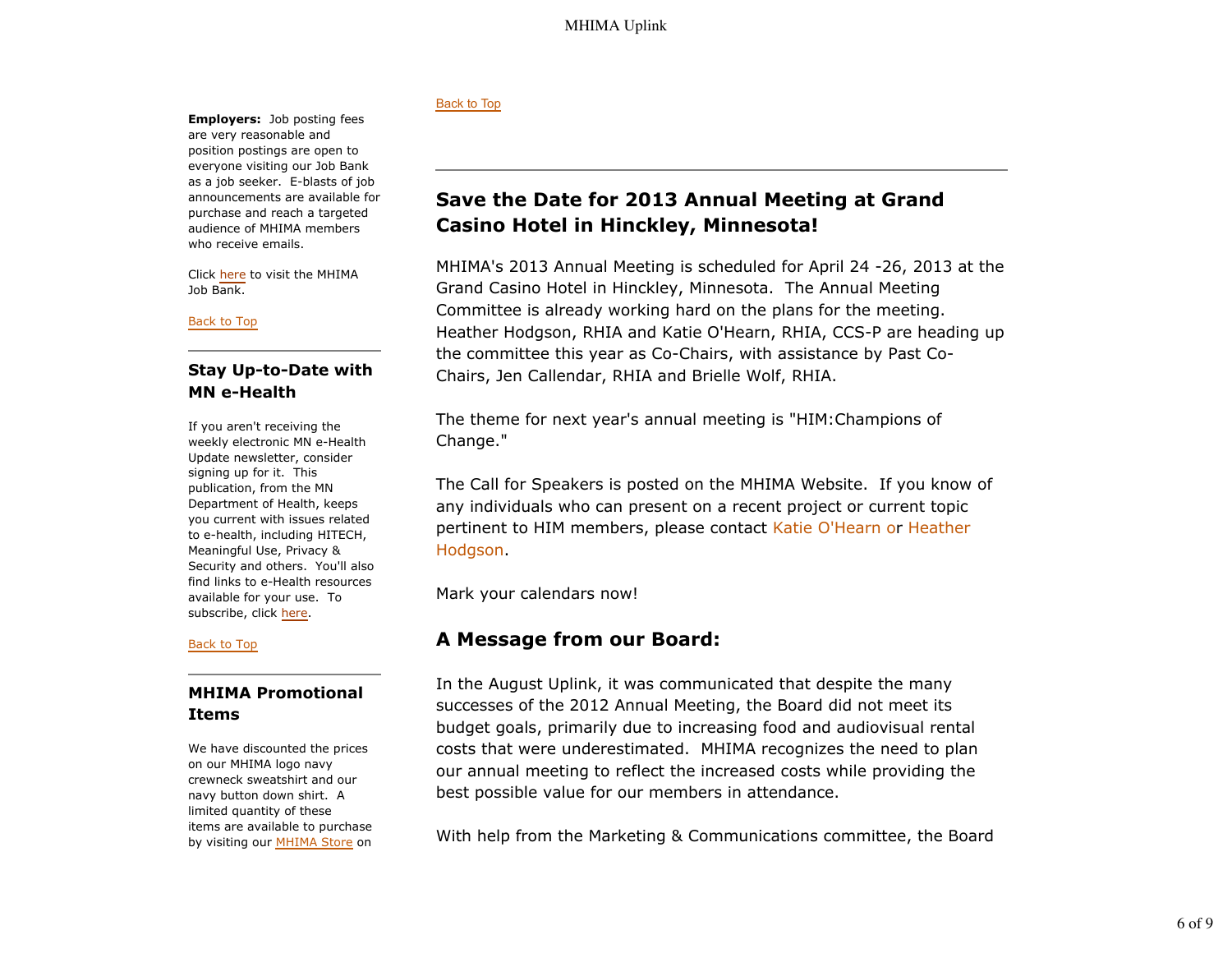**Employers:** Job posting fees are very reasonable and position postings are open to everyone visiting our Job Bank as a job seeker. E-blasts of job announcements are available for purchase and reach a targeted audience of MHIMA members who receive emails.

Click here to visit the MHIMA Job Bank.

Back to Top

### **Stay Up-to-Date with MN e-Health**

If you aren't receiving the weekly electronic MN e-Health Update newsletter, consider signing up for it. This publication, from the MN Department of Health, keeps you current with issues related to e-health, including HITECH, Meaningful Use, Privacy & Security and others. You'll also find links to e-Health resources available for your use. To subscribe, click here.

#### Back to Top

## **MHIMA Promotional Items**

We have discounted the prices on our MHIMA logo navy crewneck sweatshirt and our navy button down shirt. A limited quantity of these items are available to purchase by visiting our MHIMA Store on

### Back to Top

# **Save the Date for 2013 Annual Meeting at Grand Casino Hotel in Hinckley, Minnesota!**

MHIMA's 2013 Annual Meeting is scheduled for April 24 -26, 2013 at the Grand Casino Hotel in Hinckley, Minnesota. The Annual Meeting Committee is already working hard on the plans for the meeting. Heather Hodgson, RHIA and Katie O'Hearn, RHIA, CCS-P are heading up the committee this year as Co-Chairs, with assistance by Past Co-Chairs, Jen Callendar, RHIA and Brielle Wolf, RHIA.

The theme for next year's annual meeting is "HIM:Champions of Change."

The Call for Speakers is posted on the MHIMA Website. If you know of any individuals who can present on a recent project or current topic pertinent to HIM members, please contact Katie O'Hearn or Heather Hodgson.

Mark your calendars now!

# **A Message from our Board:**

In the August Uplink, it was communicated that despite the many successes of the 2012 Annual Meeting, the Board did not meet its budget goals, primarily due to increasing food and audiovisual rental costs that were underestimated. MHIMA recognizes the need to plan our annual meeting to reflect the increased costs while providing the best possible value for our members in attendance.

With help from the Marketing & Communications committee, the Board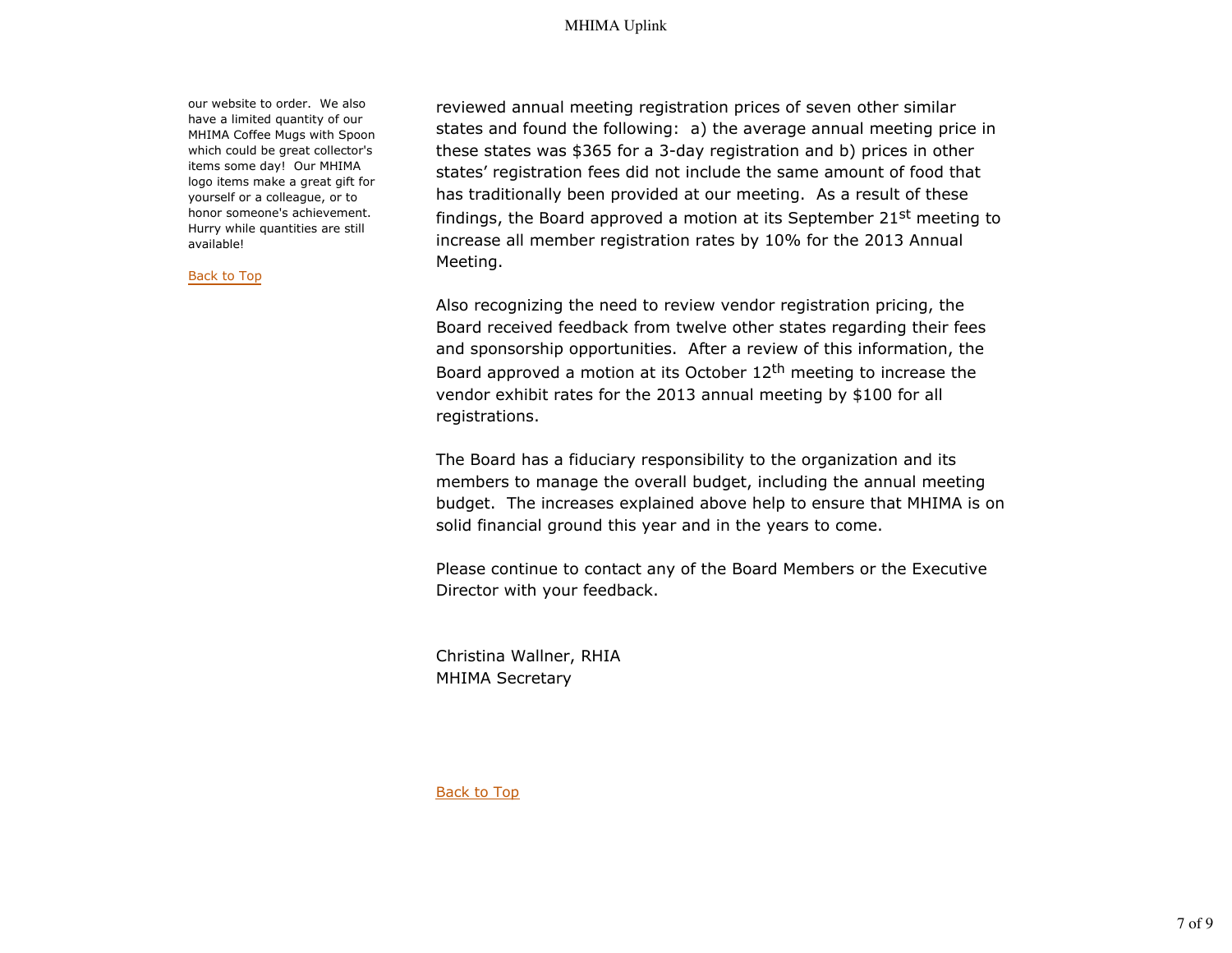our website to order. We also have a limited quantity of our MHIMA Coffee Mugs with Spoon which could be great collector's items some day! Our MHIMA logo items make a great gift for yourself or a colleague, or to honor someone's achievement. Hurry while quantities are still available!

Back to Top

reviewed annual meeting registration prices of seven other similar states and found the following: a) the average annual meeting price in these states was \$365 for a 3-day registration and b) prices in other states' registration fees did not include the same amount of food that has traditionally been provided at our meeting. As a result of these findings, the Board approved a motion at its September 21st meeting to increase all member registration rates by 10% for the 2013 Annual Meeting.

Also recognizing the need to review vendor registration pricing, the Board received feedback from twelve other states regarding their fees and sponsorship opportunities. After a review of this information, the Board approved a motion at its October  $12<sup>th</sup>$  meeting to increase the vendor exhibit rates for the 2013 annual meeting by \$100 for all registrations.

The Board has a fiduciary responsibility to the organization and its members to manage the overall budget, including the annual meeting budget. The increases explained above help to ensure that MHIMA is on solid financial ground this year and in the years to come.

Please continue to contact any of the Board Members or the Executive Director with your feedback.

Christina Wallner, RHIA MHIMA Secretary

Back to Top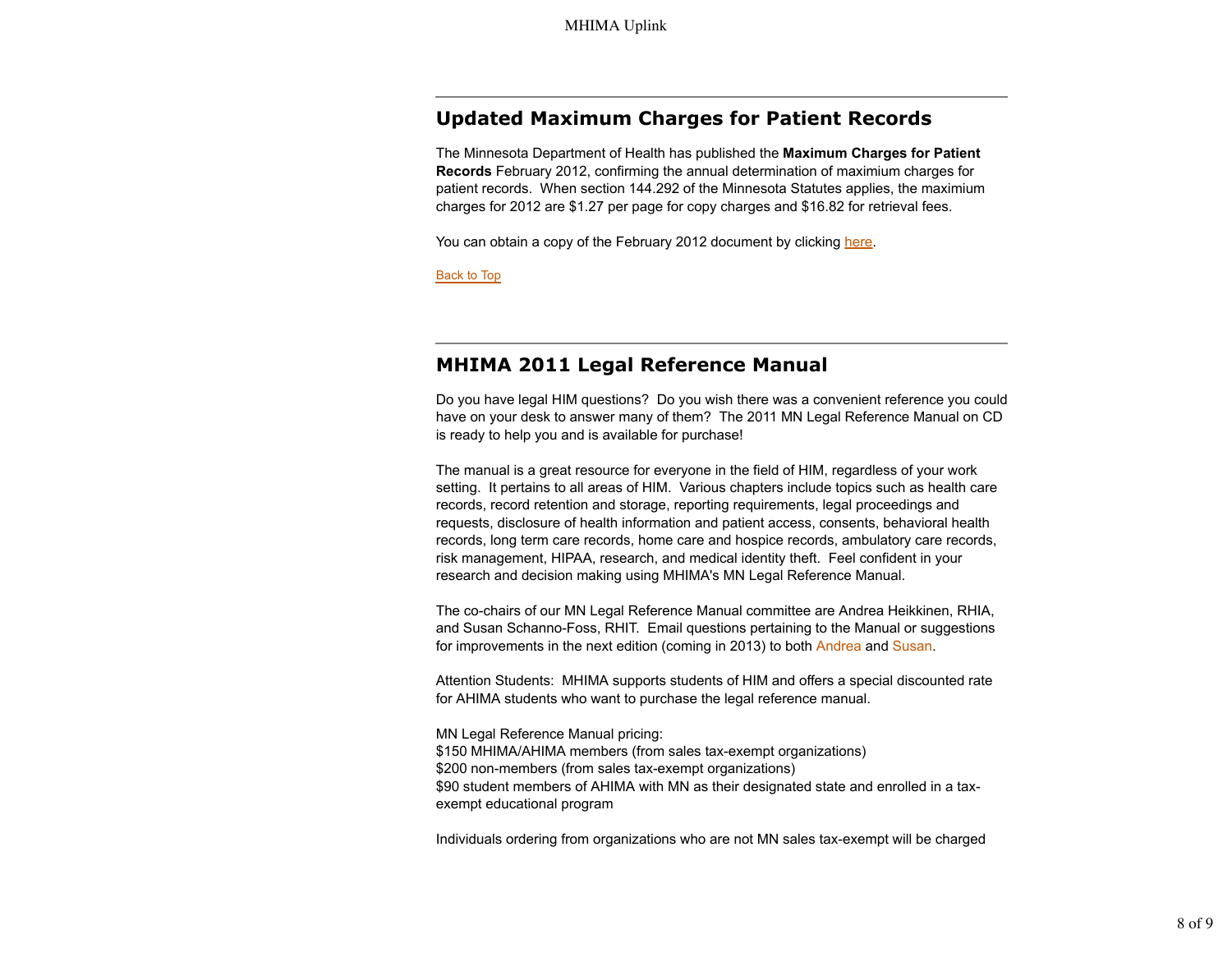# **Updated Maximum Charges for Patient Records**

The Minnesota Department of Health has published the **Maximum Charges for Patient Records** February 2012, confirming the annual determination of maximium charges for patient records. When section 144.292 of the Minnesota Statutes applies, the maximium charges for 2012 are \$1.27 per page for copy charges and \$16.82 for retrieval fees.

You can obtain a copy of the February 2012 document by clicking here.

Back to Top

## **MHIMA 2011 Legal Reference Manual**

Do you have legal HIM questions? Do you wish there was a convenient reference you could have on your desk to answer many of them? The 2011 MN Legal Reference Manual on CD is ready to help you and is available for purchase!

The manual is a great resource for everyone in the field of HIM, regardless of your work setting. It pertains to all areas of HIM. Various chapters include topics such as health care records, record retention and storage, reporting requirements, legal proceedings and requests, disclosure of health information and patient access, consents, behavioral health records, long term care records, home care and hospice records, ambulatory care records, risk management, HIPAA, research, and medical identity theft. Feel confident in your research and decision making using MHIMA's MN Legal Reference Manual.

The co-chairs of our MN Legal Reference Manual committee are Andrea Heikkinen, RHIA, and Susan Schanno-Foss, RHIT. Email questions pertaining to the Manual or suggestions for improvements in the next edition (coming in 2013) to both Andrea and Susan.

Attention Students: MHIMA supports students of HIM and offers a special discounted rate for AHIMA students who want to purchase the legal reference manual.

MN Legal Reference Manual pricing: \$150 MHIMA/AHIMA members (from sales tax-exempt organizations) \$200 non-members (from sales tax-exempt organizations) \$90 student members of AHIMA with MN as their designated state and enrolled in a taxexempt educational program

Individuals ordering from organizations who are not MN sales tax-exempt will be charged